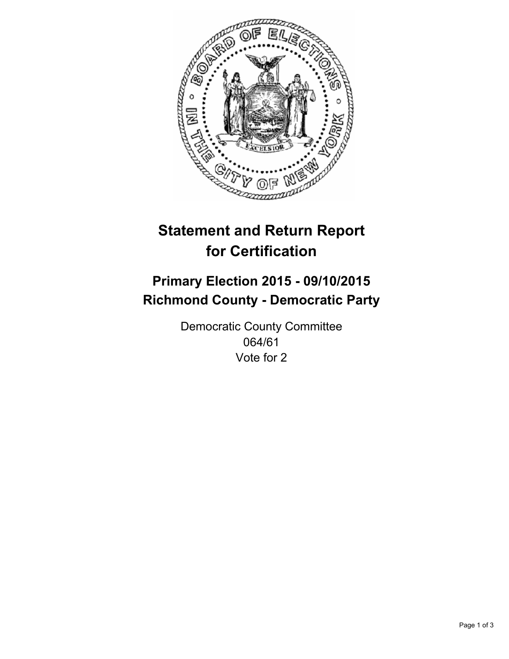

# **Statement and Return Report for Certification**

## **Primary Election 2015 - 09/10/2015 Richmond County - Democratic Party**

Democratic County Committee 064/61 Vote for 2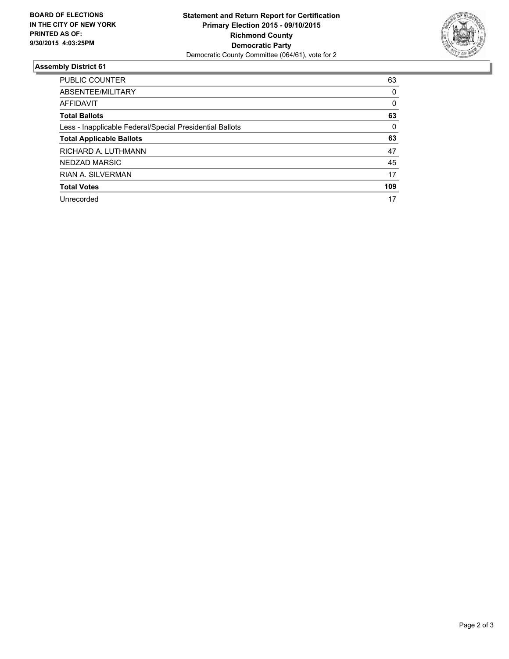

#### **Assembly District 61**

| <b>PUBLIC COUNTER</b>                                    | 63  |
|----------------------------------------------------------|-----|
| ABSENTEE/MILITARY                                        | 0   |
| AFFIDAVIT                                                | 0   |
| <b>Total Ballots</b>                                     | 63  |
| Less - Inapplicable Federal/Special Presidential Ballots | 0   |
| <b>Total Applicable Ballots</b>                          | 63  |
| RICHARD A. LUTHMANN                                      | 47  |
| NEDZAD MARSIC                                            | 45  |
| <b>RIAN A. SILVERMAN</b>                                 | 17  |
| <b>Total Votes</b>                                       | 109 |
| Unrecorded                                               | 17  |